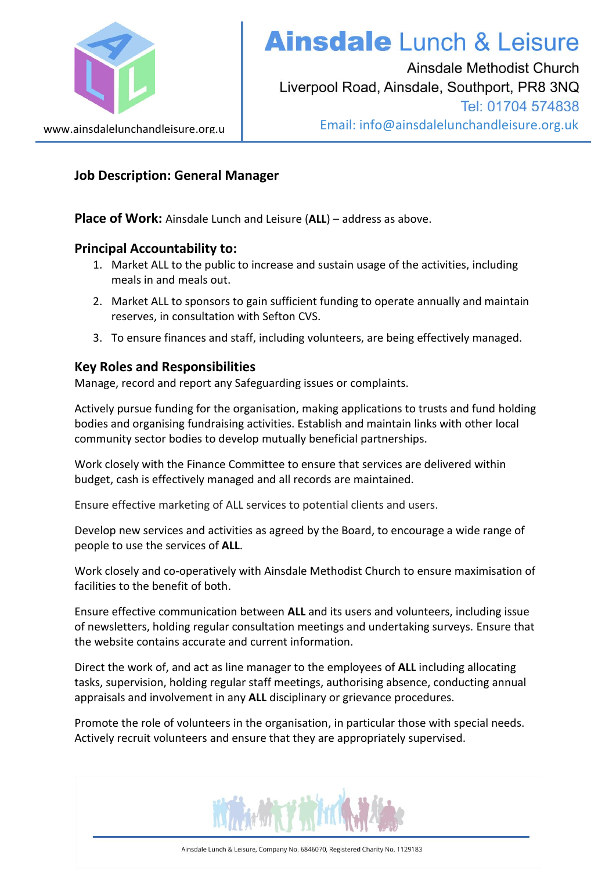

# **Ainsdale** Lunch & Leisure

Ainsdale Methodist Church Liverpool Road, Ainsdale, Southport, PR8 3NQ Tel: 01704 574838 Email: info@ainsdalelunchandleisure.org.uk

## **Job Description: General Manager**

**Place of Work:** Ainsdale Lunch and Leisure (**ALL**) – address as above.

### **Principal Accountability to:**

- 1. Market ALL to the public to increase and sustain usage of the activities, including meals in and meals out.
- 2. Market ALL to sponsors to gain sufficient funding to operate annually and maintain reserves, in consultation with Sefton CVS.
- 3. To ensure finances and staff, including volunteers, are being effectively managed.

## **Key Roles and Responsibilities**

Manage, record and report any Safeguarding issues or complaints.

Actively pursue funding for the organisation, making applications to trusts and fund holding bodies and organising fundraising activities. Establish and maintain links with other local community sector bodies to develop mutually beneficial partnerships.

Work closely with the Finance Committee to ensure that services are delivered within budget, cash is effectively managed and all records are maintained.

Ensure effective marketing of ALL services to potential clients and users.

Develop new services and activities as agreed by the Board, to encourage a wide range of people to use the services of **ALL**.

Work closely and co-operatively with Ainsdale Methodist Church to ensure maximisation of facilities to the benefit of both.

Ensure effective communication between **ALL** and its users and volunteers, including issue of newsletters, holding regular consultation meetings and undertaking surveys. Ensure that the website contains accurate and current information.

Direct the work of, and act as line manager to the employees of **ALL** including allocating tasks, supervision, holding regular staff meetings, authorising absence, conducting annual appraisals and involvement in any **ALL** disciplinary or grievance procedures.

Promote the role of volunteers in the organisation, in particular those with special needs. Actively recruit volunteers and ensure that they are appropriately supervised.

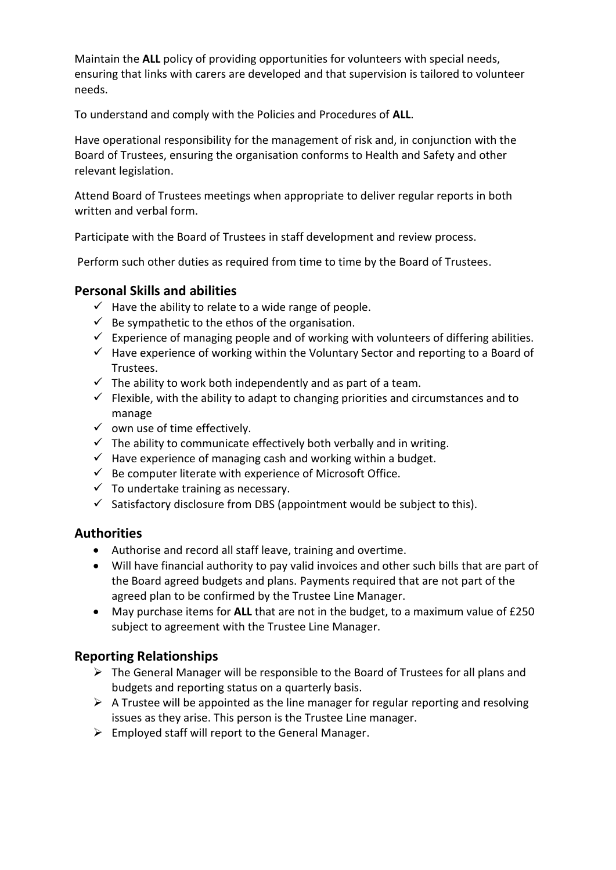Maintain the **ALL** policy of providing opportunities for volunteers with special needs, ensuring that links with carers are developed and that supervision is tailored to volunteer needs.

To understand and comply with the Policies and Procedures of **ALL**.

Have operational responsibility for the management of risk and, in conjunction with the Board of Trustees, ensuring the organisation conforms to Health and Safety and other relevant legislation.

Attend Board of Trustees meetings when appropriate to deliver regular reports in both written and verbal form.

Participate with the Board of Trustees in staff development and review process.

Perform such other duties as required from time to time by the Board of Trustees.

### **Personal Skills and abilities**

- $\checkmark$  Have the ability to relate to a wide range of people.
- $\checkmark$  Be sympathetic to the ethos of the organisation.
- $\checkmark$  Experience of managing people and of working with volunteers of differing abilities.
- $\checkmark$  Have experience of working within the Voluntary Sector and reporting to a Board of Trustees.
- $\checkmark$  The ability to work both independently and as part of a team.
- $\checkmark$  Flexible, with the ability to adapt to changing priorities and circumstances and to manage
- $\checkmark$  own use of time effectively.
- $\checkmark$  The ability to communicate effectively both verbally and in writing.
- $\checkmark$  Have experience of managing cash and working within a budget.
- $\checkmark$  Be computer literate with experience of Microsoft Office.
- $\checkmark$  To undertake training as necessary.
- $\checkmark$  Satisfactory disclosure from DBS (appointment would be subject to this).

### **Authorities**

- Authorise and record all staff leave, training and overtime.
- Will have financial authority to pay valid invoices and other such bills that are part of the Board agreed budgets and plans. Payments required that are not part of the agreed plan to be confirmed by the Trustee Line Manager.
- May purchase items for **ALL** that are not in the budget, to a maximum value of £250 subject to agreement with the Trustee Line Manager.

## **Reporting Relationships**

- $\triangleright$  The General Manager will be responsible to the Board of Trustees for all plans and budgets and reporting status on a quarterly basis.
- $\triangleright$  A Trustee will be appointed as the line manager for regular reporting and resolving issues as they arise. This person is the Trustee Line manager.
- $\triangleright$  Employed staff will report to the General Manager.